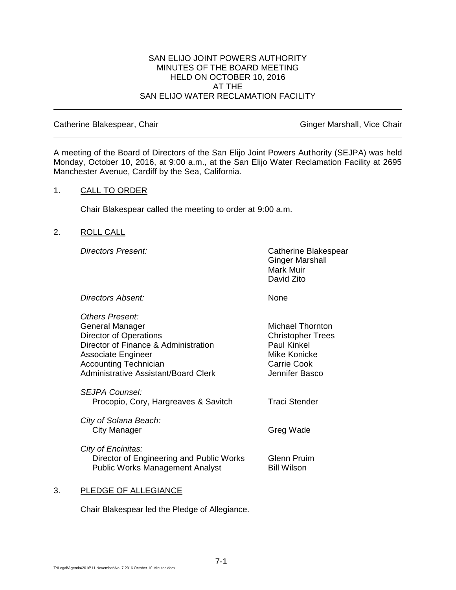#### SAN ELIJO JOINT POWERS AUTHORITY MINUTES OF THE BOARD MEETING HELD ON OCTOBER 10, 2016 AT THE SAN ELIJO WATER RECLAMATION FACILITY

Catherine Blakespear, Chair Ginger Marshall, Vice Chair

A meeting of the Board of Directors of the San Elijo Joint Powers Authority (SEJPA) was held Monday, October 10, 2016, at 9:00 a.m., at the San Elijo Water Reclamation Facility at 2695 Manchester Avenue, Cardiff by the Sea, California.

#### 1. CALL TO ORDER

Chair Blakespear called the meeting to order at 9:00 a.m.

## 2. ROLL CALL

*Directors Present:* Catherine Blakespear Ginger Marshall Mark Muir David Zito

**Directors Absent:** None

*Others Present:*

| General Manager<br><b>Director of Operations</b><br>Director of Finance & Administration<br>Associate Engineer<br><b>Accounting Technician</b><br>Administrative Assistant/Board Clerk | Michael Thornton<br><b>Christopher Trees</b><br>Paul Kinkel<br>Mike Konicke<br>Carrie Cook<br>Jennifer Basco |
|----------------------------------------------------------------------------------------------------------------------------------------------------------------------------------------|--------------------------------------------------------------------------------------------------------------|
| <i>SEJPA Counsel:</i><br>Procopio, Cory, Hargreaves & Savitch                                                                                                                          | Traci Stender                                                                                                |
| City of Solana Beach:<br>City Manager                                                                                                                                                  | Greg Wade                                                                                                    |
| City of Encinitas:<br>Director of Engineering and Public Works<br><b>Public Works Management Analyst</b>                                                                               | Glenn Pruim<br><b>Bill Wilson</b>                                                                            |

## 3. PLEDGE OF ALLEGIANCE

Chair Blakespear led the Pledge of Allegiance.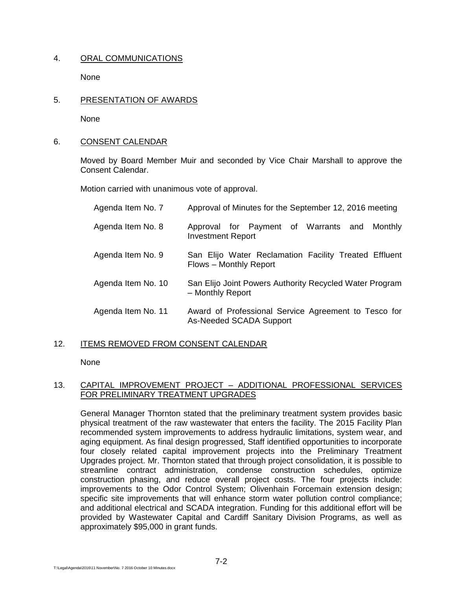# 4. ORAL COMMUNICATIONS

None

5. PRESENTATION OF AWARDS

None

## 6. CONSENT CALENDAR

Moved by Board Member Muir and seconded by Vice Chair Marshall to approve the Consent Calendar.

Motion carried with unanimous vote of approval.

| Agenda Item No. 7  | Approval of Minutes for the September 12, 2016 meeting                          |
|--------------------|---------------------------------------------------------------------------------|
| Agenda Item No. 8  | Approval for Payment of Warrants and<br>Monthly<br><b>Investment Report</b>     |
| Agenda Item No. 9  | San Elijo Water Reclamation Facility Treated Effluent<br>Flows - Monthly Report |
| Agenda Item No. 10 | San Elijo Joint Powers Authority Recycled Water Program<br>- Monthly Report     |
| Agenda Item No. 11 | Award of Professional Service Agreement to Tesco for<br>As-Needed SCADA Support |

# 12. ITEMS REMOVED FROM CONSENT CALENDAR

None

## 13. CAPITAL IMPROVEMENT PROJECT – ADDITIONAL PROFESSIONAL SERVICES FOR PRELIMINARY TREATMENT UPGRADES

General Manager Thornton stated that the preliminary treatment system provides basic physical treatment of the raw wastewater that enters the facility. The 2015 Facility Plan recommended system improvements to address hydraulic limitations, system wear, and aging equipment. As final design progressed, Staff identified opportunities to incorporate four closely related capital improvement projects into the Preliminary Treatment Upgrades project. Mr. Thornton stated that through project consolidation, it is possible to streamline contract administration, condense construction schedules, optimize construction phasing, and reduce overall project costs. The four projects include: improvements to the Odor Control System; Olivenhain Forcemain extension design; specific site improvements that will enhance storm water pollution control compliance; and additional electrical and SCADA integration. Funding for this additional effort will be provided by Wastewater Capital and Cardiff Sanitary Division Programs, as well as approximately \$95,000 in grant funds.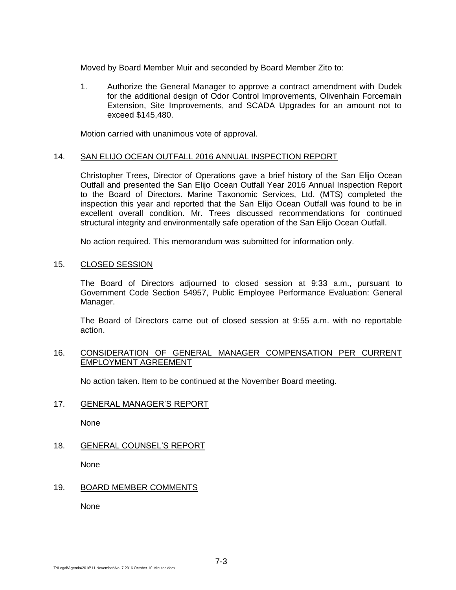Moved by Board Member Muir and seconded by Board Member Zito to:

1. Authorize the General Manager to approve a contract amendment with Dudek for the additional design of Odor Control Improvements, Olivenhain Forcemain Extension, Site Improvements, and SCADA Upgrades for an amount not to exceed \$145,480.

Motion carried with unanimous vote of approval.

## 14. SAN ELIJO OCEAN OUTFALL 2016 ANNUAL INSPECTION REPORT

Christopher Trees, Director of Operations gave a brief history of the San Elijo Ocean Outfall and presented the San Elijo Ocean Outfall Year 2016 Annual Inspection Report to the Board of Directors. Marine Taxonomic Services, Ltd. (MTS) completed the inspection this year and reported that the San Elijo Ocean Outfall was found to be in excellent overall condition. Mr. Trees discussed recommendations for continued structural integrity and environmentally safe operation of the San Elijo Ocean Outfall.

No action required. This memorandum was submitted for information only.

15. CLOSED SESSION

The Board of Directors adjourned to closed session at 9:33 a.m., pursuant to Government Code Section 54957, Public Employee Performance Evaluation: General Manager.

The Board of Directors came out of closed session at 9:55 a.m. with no reportable action.

## 16. CONSIDERATION OF GENERAL MANAGER COMPENSATION PER CURRENT EMPLOYMENT AGREEMENT

No action taken. Item to be continued at the November Board meeting.

# 17. GENERAL MANAGER'S REPORT

None

18. GENERAL COUNSEL'S REPORT

None

# 19. BOARD MEMBER COMMENTS

**None**